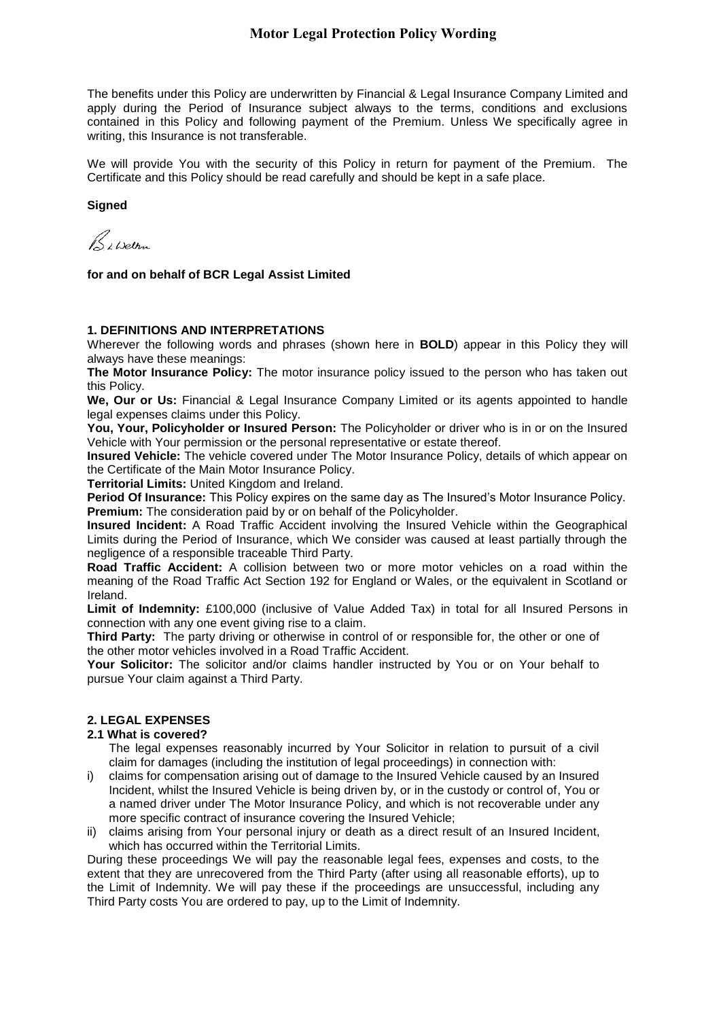The benefits under this Policy are underwritten by Financial & Legal Insurance Company Limited and apply during the Period of Insurance subject always to the terms, conditions and exclusions contained in this Policy and following payment of the Premium. Unless We specifically agree in writing, this Insurance is not transferable.

We will provide You with the security of this Policy in return for payment of the Premium. The Certificate and this Policy should be read carefully and should be kept in a safe place.

### **Signed**

Bibelon

**for and on behalf of BCR Legal Assist Limited**

### **1. DEFINITIONS AND INTERPRETATIONS**

Wherever the following words and phrases (shown here in **BOLD**) appear in this Policy they will always have these meanings:

**The Motor Insurance Policy:** The motor insurance policy issued to the person who has taken out this Policy.

**We, Our or Us:** Financial & Legal Insurance Company Limited or its agents appointed to handle legal expenses claims under this Policy.

**You, Your, Policyholder or Insured Person:** The Policyholder or driver who is in or on the Insured Vehicle with Your permission or the personal representative or estate thereof.

**Insured Vehicle:** The vehicle covered under The Motor Insurance Policy, details of which appear on the Certificate of the Main Motor Insurance Policy.

**Territorial Limits:** United Kingdom and Ireland.

**Period Of Insurance:** This Policy expires on the same day as The Insured's Motor Insurance Policy. **Premium:** The consideration paid by or on behalf of the Policyholder.

**Insured Incident:** A Road Traffic Accident involving the Insured Vehicle within the Geographical Limits during the Period of Insurance, which We consider was caused at least partially through the negligence of a responsible traceable Third Party.

**Road Traffic Accident:** A collision between two or more motor vehicles on a road within the meaning of the Road Traffic Act Section 192 for England or Wales, or the equivalent in Scotland or Ireland.

**Limit of Indemnity:** £100,000 (inclusive of Value Added Tax) in total for all Insured Persons in connection with any one event giving rise to a claim.

**Third Party:** The party driving or otherwise in control of or responsible for, the other or one of the other motor vehicles involved in a Road Traffic Accident.

**Your Solicitor:** The solicitor and/or claims handler instructed by You or on Your behalf to pursue Your claim against a Third Party.

# **2. LEGAL EXPENSES**

### **2.1 What is covered?**

The legal expenses reasonably incurred by Your Solicitor in relation to pursuit of a civil claim for damages (including the institution of legal proceedings) in connection with:

- i) claims for compensation arising out of damage to the Insured Vehicle caused by an Insured Incident, whilst the Insured Vehicle is being driven by, or in the custody or control of, You or a named driver under The Motor Insurance Policy, and which is not recoverable under any more specific contract of insurance covering the Insured Vehicle;
- ii) claims arising from Your personal injury or death as a direct result of an Insured Incident, which has occurred within the Territorial Limits.

During these proceedings We will pay the reasonable legal fees, expenses and costs, to the extent that they are unrecovered from the Third Party (after using all reasonable efforts), up to the Limit of Indemnity. We will pay these if the proceedings are unsuccessful, including any Third Party costs You are ordered to pay, up to the Limit of Indemnity.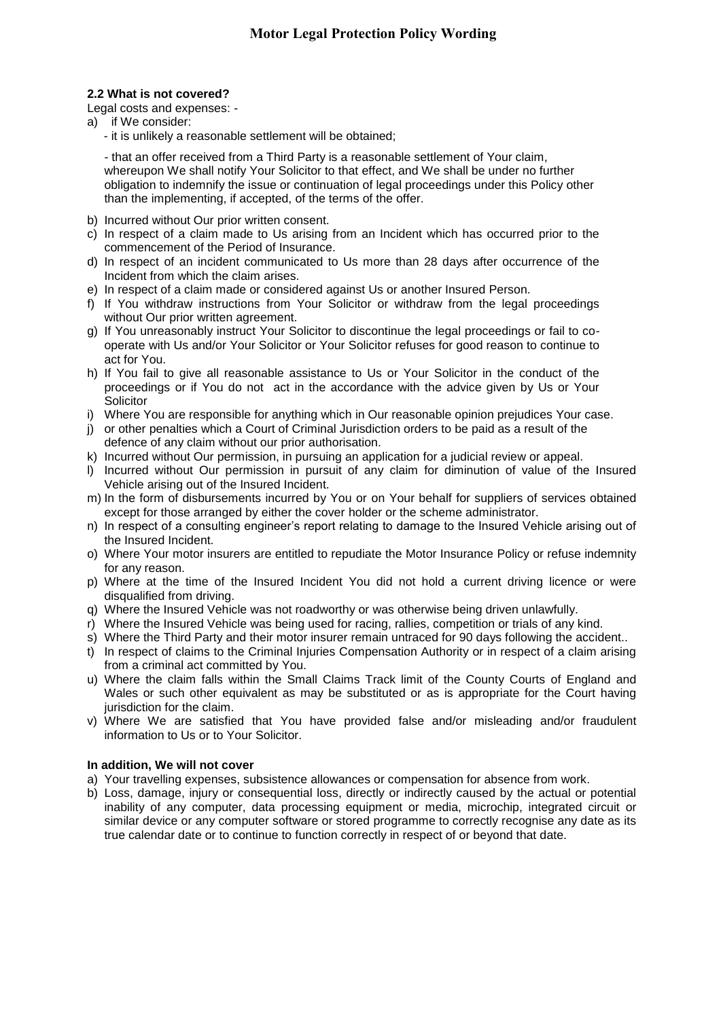# **2.2 What is not covered?**

## Legal costs and expenses: -

- a) if We consider:
	- it is unlikely a reasonable settlement will be obtained;

- that an offer received from a Third Party is a reasonable settlement of Your claim, whereupon We shall notify Your Solicitor to that effect, and We shall be under no further obligation to indemnify the issue or continuation of legal proceedings under this Policy other than the implementing, if accepted, of the terms of the offer.

- b) Incurred without Our prior written consent.
- c) In respect of a claim made to Us arising from an Incident which has occurred prior to the commencement of the Period of Insurance.
- d) In respect of an incident communicated to Us more than 28 days after occurrence of the Incident from which the claim arises.
- e) In respect of a claim made or considered against Us or another Insured Person.
- f) If You withdraw instructions from Your Solicitor or withdraw from the legal proceedings without Our prior written agreement.
- g) If You unreasonably instruct Your Solicitor to discontinue the legal proceedings or fail to cooperate with Us and/or Your Solicitor or Your Solicitor refuses for good reason to continue to act for You.
- h) If You fail to give all reasonable assistance to Us or Your Solicitor in the conduct of the proceedings or if You do not act in the accordance with the advice given by Us or Your **Solicitor**
- i) Where You are responsible for anything which in Our reasonable opinion prejudices Your case.
- j) or other penalties which a Court of Criminal Jurisdiction orders to be paid as a result of the defence of any claim without our prior authorisation.
- k) Incurred without Our permission, in pursuing an application for a judicial review or appeal.
- l) Incurred without Our permission in pursuit of any claim for diminution of value of the Insured Vehicle arising out of the Insured Incident.
- m) In the form of disbursements incurred by You or on Your behalf for suppliers of services obtained except for those arranged by either the cover holder or the scheme administrator.
- n) In respect of a consulting engineer's report relating to damage to the Insured Vehicle arising out of the Insured Incident.
- o) Where Your motor insurers are entitled to repudiate the Motor Insurance Policy or refuse indemnity for any reason.
- p) Where at the time of the Insured Incident You did not hold a current driving licence or were disqualified from driving.
- q) Where the Insured Vehicle was not roadworthy or was otherwise being driven unlawfully.
- r) Where the Insured Vehicle was being used for racing, rallies, competition or trials of any kind.
- s) Where the Third Party and their motor insurer remain untraced for 90 days following the accident..
- t) In respect of claims to the Criminal Injuries Compensation Authority or in respect of a claim arising from a criminal act committed by You.
- u) Where the claim falls within the Small Claims Track limit of the County Courts of England and Wales or such other equivalent as may be substituted or as is appropriate for the Court having jurisdiction for the claim.
- v) Where We are satisfied that You have provided false and/or misleading and/or fraudulent information to Us or to Your Solicitor.

# **In addition, We will not cover**

- a) Your travelling expenses, subsistence allowances or compensation for absence from work.
- b) Loss, damage, injury or consequential loss, directly or indirectly caused by the actual or potential inability of any computer, data processing equipment or media, microchip, integrated circuit or similar device or any computer software or stored programme to correctly recognise any date as its true calendar date or to continue to function correctly in respect of or beyond that date.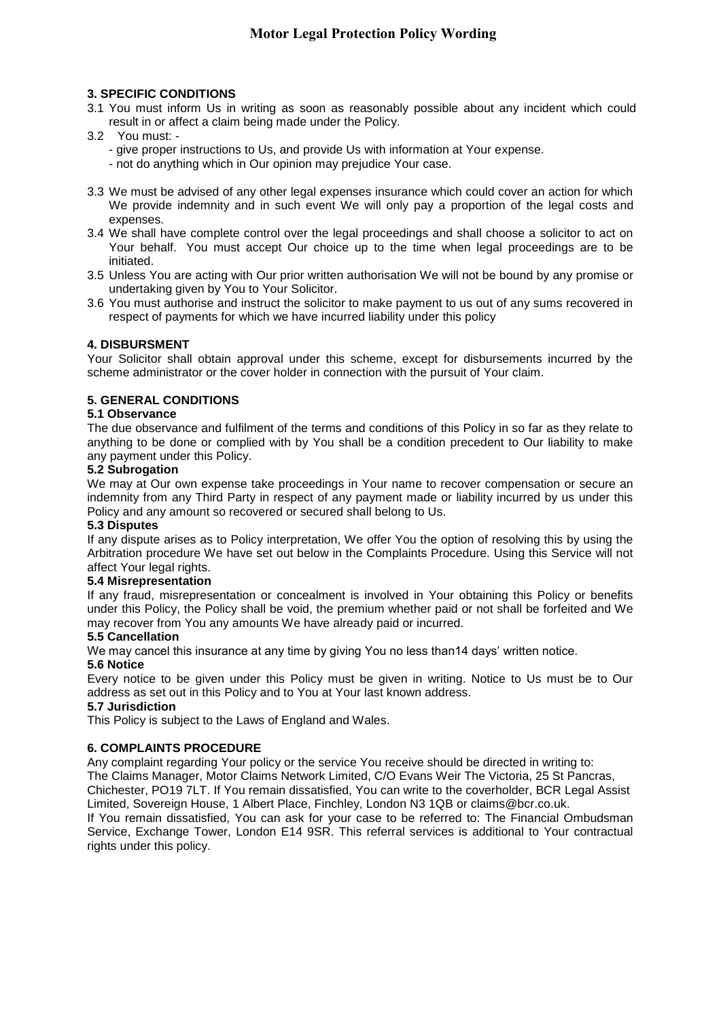# **3. SPECIFIC CONDITIONS**

- 3.1 You must inform Us in writing as soon as reasonably possible about any incident which could result in or affect a claim being made under the Policy.
- 3.2 You must:
	- give proper instructions to Us, and provide Us with information at Your expense.
	- not do anything which in Our opinion may prejudice Your case.
- 3.3 We must be advised of any other legal expenses insurance which could cover an action for which We provide indemnity and in such event We will only pay a proportion of the legal costs and expenses.
- 3.4 We shall have complete control over the legal proceedings and shall choose a solicitor to act on Your behalf. You must accept Our choice up to the time when legal proceedings are to be initiated.
- 3.5 Unless You are acting with Our prior written authorisation We will not be bound by any promise or undertaking given by You to Your Solicitor.
- 3.6 You must authorise and instruct the solicitor to make payment to us out of any sums recovered in respect of payments for which we have incurred liability under this policy

# **4. DISBURSMENT**

Your Solicitor shall obtain approval under this scheme, except for disbursements incurred by the scheme administrator or the cover holder in connection with the pursuit of Your claim.

# **5. GENERAL CONDITIONS**

### **5.1 Observance**

The due observance and fulfilment of the terms and conditions of this Policy in so far as they relate to anything to be done or complied with by You shall be a condition precedent to Our liability to make any payment under this Policy.

# **5.2 Subrogation**

We may at Our own expense take proceedings in Your name to recover compensation or secure an indemnity from any Third Party in respect of any payment made or liability incurred by us under this Policy and any amount so recovered or secured shall belong to Us.

### **5.3 Disputes**

If any dispute arises as to Policy interpretation, We offer You the option of resolving this by using the Arbitration procedure We have set out below in the Complaints Procedure. Using this Service will not affect Your legal rights.

### **5.4 Misrepresentation**

If any fraud, misrepresentation or concealment is involved in Your obtaining this Policy or benefits under this Policy, the Policy shall be void, the premium whether paid or not shall be forfeited and We may recover from You any amounts We have already paid or incurred.

### **5.5 Cancellation**

We may cancel this insurance at any time by giving You no less than14 days' written notice.

### **5.6 Notice**

Every notice to be given under this Policy must be given in writing. Notice to Us must be to Our address as set out in this Policy and to You at Your last known address.

# **5.7 Jurisdiction**

This Policy is subject to the Laws of England and Wales.

# **6. COMPLAINTS PROCEDURE**

Any complaint regarding Your policy or the service You receive should be directed in writing to: The Claims Manager, Motor Claims Network Limited, C/O Evans Weir The Victoria, 25 St Pancras, Chichester, PO19 7LT. If You remain dissatisfied, You can write to the coverholder, BCR Legal Assist Limited, Sovereign House, 1 Albert Place, Finchley, London N3 1QB or claims@bcr.co.uk. If You remain dissatisfied, You can ask for your case to be referred to: The Financial Ombudsman Service, Exchange Tower, London E14 9SR. This referral services is additional to Your contractual rights under this policy.